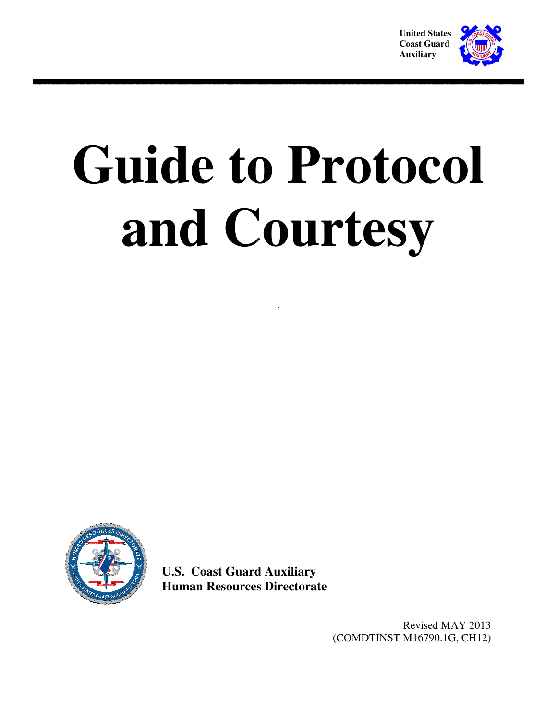

# **Guide to Protocol and Courtesy**



**U.S. Coast Guard Auxiliary Human Resources Directorate**

> Revised MAY 2013 (COMDTINST M16790.1G, CH12)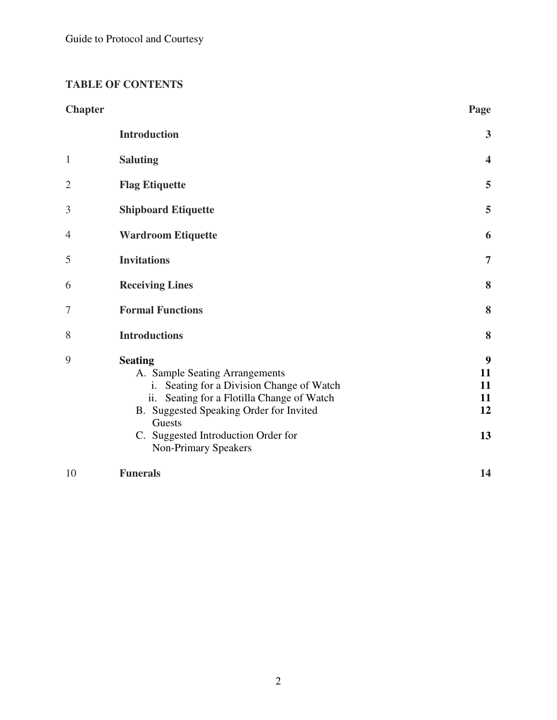# **TABLE OF CONTENTS**

| <b>Chapter</b> |                                                                                                                                                                                                                                                                                   | Page                            |
|----------------|-----------------------------------------------------------------------------------------------------------------------------------------------------------------------------------------------------------------------------------------------------------------------------------|---------------------------------|
|                | <b>Introduction</b>                                                                                                                                                                                                                                                               | 3                               |
| $\mathbf{1}$   | <b>Saluting</b>                                                                                                                                                                                                                                                                   | $\overline{\mathbf{4}}$         |
| $\overline{2}$ | <b>Flag Etiquette</b>                                                                                                                                                                                                                                                             | 5                               |
| 3              | <b>Shipboard Etiquette</b>                                                                                                                                                                                                                                                        | 5                               |
| 4              | <b>Wardroom Etiquette</b>                                                                                                                                                                                                                                                         | 6                               |
| 5              | <b>Invitations</b>                                                                                                                                                                                                                                                                | $\overline{7}$                  |
| 6              | <b>Receiving Lines</b>                                                                                                                                                                                                                                                            | 8                               |
| 7              | <b>Formal Functions</b>                                                                                                                                                                                                                                                           | 8                               |
| 8              | <b>Introductions</b>                                                                                                                                                                                                                                                              | 8                               |
| 9              | <b>Seating</b><br>A. Sample Seating Arrangements<br>Seating for a Division Change of Watch<br>$\mathbf{i}$ .<br>Seating for a Flotilla Change of Watch<br>ii.<br>B. Suggested Speaking Order for Invited<br>Guests<br>C. Suggested Introduction Order for<br>Non-Primary Speakers | 9<br>11<br>11<br>11<br>12<br>13 |
| 10             | <b>Funerals</b>                                                                                                                                                                                                                                                                   | 14                              |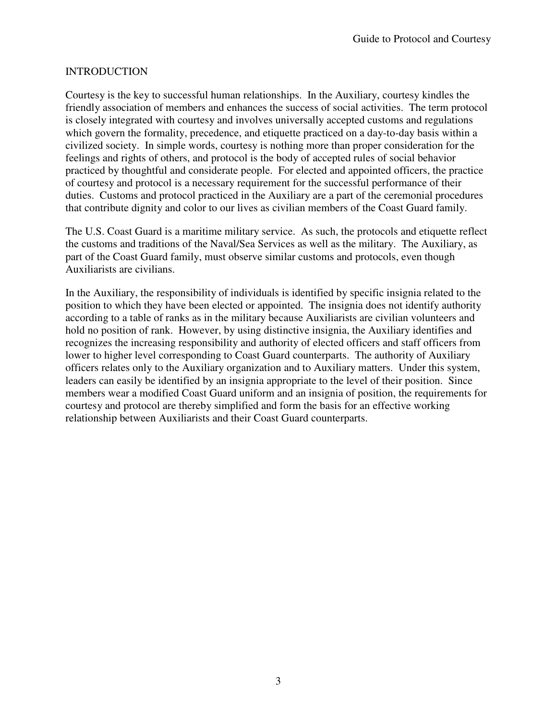#### INTRODUCTION

Courtesy is the key to successful human relationships. In the Auxiliary, courtesy kindles the friendly association of members and enhances the success of social activities. The term protocol is closely integrated with courtesy and involves universally accepted customs and regulations which govern the formality, precedence, and etiquette practiced on a day-to-day basis within a civilized society. In simple words, courtesy is nothing more than proper consideration for the feelings and rights of others, and protocol is the body of accepted rules of social behavior practiced by thoughtful and considerate people. For elected and appointed officers, the practice of courtesy and protocol is a necessary requirement for the successful performance of their duties. Customs and protocol practiced in the Auxiliary are a part of the ceremonial procedures that contribute dignity and color to our lives as civilian members of the Coast Guard family.

The U.S. Coast Guard is a maritime military service. As such, the protocols and etiquette reflect the customs and traditions of the Naval/Sea Services as well as the military. The Auxiliary, as part of the Coast Guard family, must observe similar customs and protocols, even though Auxiliarists are civilians.

In the Auxiliary, the responsibility of individuals is identified by specific insignia related to the position to which they have been elected or appointed. The insignia does not identify authority according to a table of ranks as in the military because Auxiliarists are civilian volunteers and hold no position of rank. However, by using distinctive insignia, the Auxiliary identifies and recognizes the increasing responsibility and authority of elected officers and staff officers from lower to higher level corresponding to Coast Guard counterparts. The authority of Auxiliary officers relates only to the Auxiliary organization and to Auxiliary matters. Under this system, leaders can easily be identified by an insignia appropriate to the level of their position. Since members wear a modified Coast Guard uniform and an insignia of position, the requirements for courtesy and protocol are thereby simplified and form the basis for an effective working relationship between Auxiliarists and their Coast Guard counterparts.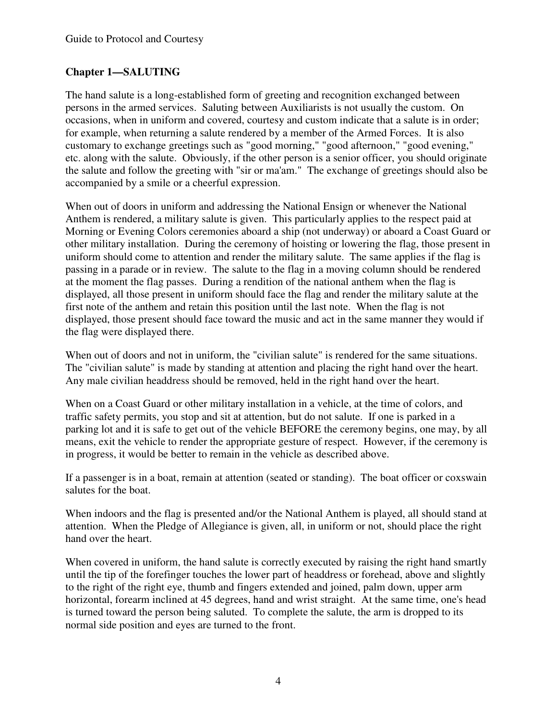# **Chapter 1—SALUTING**

The hand salute is a long-established form of greeting and recognition exchanged between persons in the armed services. Saluting between Auxiliarists is not usually the custom. On occasions, when in uniform and covered, courtesy and custom indicate that a salute is in order; for example, when returning a salute rendered by a member of the Armed Forces. It is also customary to exchange greetings such as "good morning," "good afternoon," "good evening," etc. along with the salute. Obviously, if the other person is a senior officer, you should originate the salute and follow the greeting with "sir or ma'am." The exchange of greetings should also be accompanied by a smile or a cheerful expression.

When out of doors in uniform and addressing the National Ensign or whenever the National Anthem is rendered, a military salute is given. This particularly applies to the respect paid at Morning or Evening Colors ceremonies aboard a ship (not underway) or aboard a Coast Guard or other military installation. During the ceremony of hoisting or lowering the flag, those present in uniform should come to attention and render the military salute. The same applies if the flag is passing in a parade or in review. The salute to the flag in a moving column should be rendered at the moment the flag passes. During a rendition of the national anthem when the flag is displayed, all those present in uniform should face the flag and render the military salute at the first note of the anthem and retain this position until the last note. When the flag is not displayed, those present should face toward the music and act in the same manner they would if the flag were displayed there.

When out of doors and not in uniform, the "civilian salute" is rendered for the same situations. The "civilian salute" is made by standing at attention and placing the right hand over the heart. Any male civilian headdress should be removed, held in the right hand over the heart.

When on a Coast Guard or other military installation in a vehicle, at the time of colors, and traffic safety permits, you stop and sit at attention, but do not salute. If one is parked in a parking lot and it is safe to get out of the vehicle BEFORE the ceremony begins, one may, by all means, exit the vehicle to render the appropriate gesture of respect. However, if the ceremony is in progress, it would be better to remain in the vehicle as described above.

If a passenger is in a boat, remain at attention (seated or standing). The boat officer or coxswain salutes for the boat.

When indoors and the flag is presented and/or the National Anthem is played, all should stand at attention. When the Pledge of Allegiance is given, all, in uniform or not, should place the right hand over the heart.

When covered in uniform, the hand salute is correctly executed by raising the right hand smartly until the tip of the forefinger touches the lower part of headdress or forehead, above and slightly to the right of the right eye, thumb and fingers extended and joined, palm down, upper arm horizontal, forearm inclined at 45 degrees, hand and wrist straight. At the same time, one's head is turned toward the person being saluted. To complete the salute, the arm is dropped to its normal side position and eyes are turned to the front.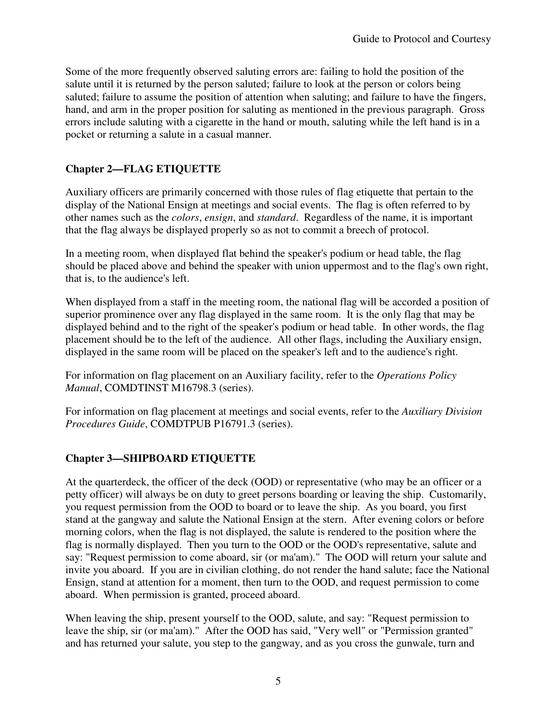Some of the more frequently observed saluting errors are: failing to hold the position of the salute until it is returned by the person saluted; failure to look at the person or colors being saluted; failure to assume the position of attention when saluting; and failure to have the fingers, hand, and arm in the proper position for saluting as mentioned in the previous paragraph. Gross errors include saluting with a cigarette in the hand or mouth, saluting while the left hand is in a pocket or returning a salute in a casual manner.

# **Chapter 2—FLAG ETIQUETTE**

Auxiliary officers are primarily concerned with those rules of flag etiquette that pertain to the display of the National Ensign at meetings and social events. The flag is often referred to by other names such as the *colors*, *ensign*, and *standard*. Regardless of the name, it is important that the flag always be displayed properly so as not to commit a breech of protocol.

In a meeting room, when displayed flat behind the speaker's podium or head table, the flag should be placed above and behind the speaker with union uppermost and to the flag's own right, that is, to the audience's left.

When displayed from a staff in the meeting room, the national flag will be accorded a position of superior prominence over any flag displayed in the same room. It is the only flag that may be displayed behind and to the right of the speaker's podium or head table. In other words, the flag placement should be to the left of the audience. All other flags, including the Auxiliary ensign, displayed in the same room will be placed on the speaker's left and to the audience's right.

For information on flag placement on an Auxiliary facility, refer to the *Operations Policy Manual*, COMDTINST M16798.3 (series).

For information on flag placement at meetings and social events, refer to the *Auxiliary Division Procedures Guide*, COMDTPUB P16791.3 (series).

#### **Chapter 3—SHIPBOARD ETIQUETTE**

At the quarterdeck, the officer of the deck (OOD) or representative (who may be an officer or a petty officer) will always be on duty to greet persons boarding or leaving the ship. Customarily, you request permission from the OOD to board or to leave the ship. As you board, you first stand at the gangway and salute the National Ensign at the stern. After evening colors or before morning colors, when the flag is not displayed, the salute is rendered to the position where the flag is normally displayed. Then you turn to the OOD or the OOD's representative, salute and say: "Request permission to come aboard, sir (or ma'am)." The OOD will return your salute and invite you aboard. If you are in civilian clothing, do not render the hand salute; face the National Ensign, stand at attention for a moment, then turn to the OOD, and request permission to come aboard. When permission is granted, proceed aboard.

When leaving the ship, present yourself to the OOD, salute, and say: "Request permission to leave the ship, sir (or ma'am)." After the OOD has said, "Very well" or "Permission granted" and has returned your salute, you step to the gangway, and as you cross the gunwale, turn and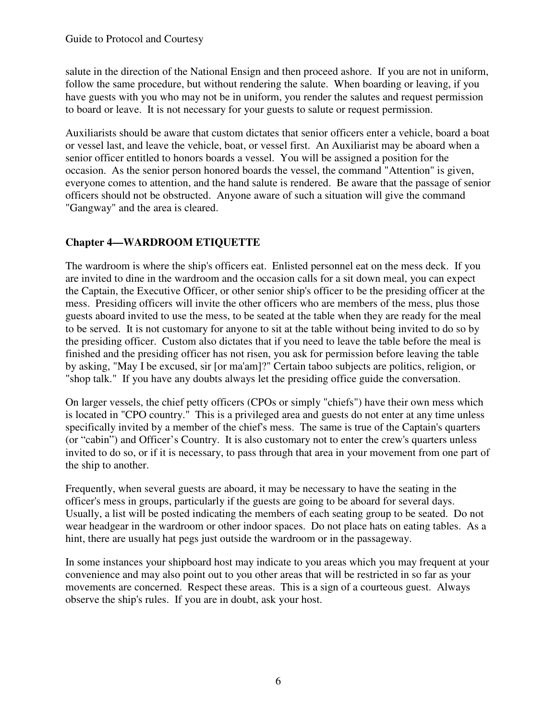salute in the direction of the National Ensign and then proceed ashore. If you are not in uniform, follow the same procedure, but without rendering the salute. When boarding or leaving, if you have guests with you who may not be in uniform, you render the salutes and request permission to board or leave. It is not necessary for your guests to salute or request permission.

Auxiliarists should be aware that custom dictates that senior officers enter a vehicle, board a boat or vessel last, and leave the vehicle, boat, or vessel first. An Auxiliarist may be aboard when a senior officer entitled to honors boards a vessel. You will be assigned a position for the occasion. As the senior person honored boards the vessel, the command "Attention" is given, everyone comes to attention, and the hand salute is rendered. Be aware that the passage of senior officers should not be obstructed. Anyone aware of such a situation will give the command "Gangway" and the area is cleared.

# **Chapter 4—WARDROOM ETIQUETTE**

The wardroom is where the ship's officers eat. Enlisted personnel eat on the mess deck. If you are invited to dine in the wardroom and the occasion calls for a sit down meal, you can expect the Captain, the Executive Officer, or other senior ship's officer to be the presiding officer at the mess. Presiding officers will invite the other officers who are members of the mess, plus those guests aboard invited to use the mess, to be seated at the table when they are ready for the meal to be served. It is not customary for anyone to sit at the table without being invited to do so by the presiding officer. Custom also dictates that if you need to leave the table before the meal is finished and the presiding officer has not risen, you ask for permission before leaving the table by asking, "May I be excused, sir [or ma'am]?" Certain taboo subjects are politics, religion, or "shop talk." If you have any doubts always let the presiding office guide the conversation.

On larger vessels, the chief petty officers (CPOs or simply "chiefs") have their own mess which is located in "CPO country." This is a privileged area and guests do not enter at any time unless specifically invited by a member of the chief's mess. The same is true of the Captain's quarters (or "cabin") and Officer's Country. It is also customary not to enter the crew's quarters unless invited to do so, or if it is necessary, to pass through that area in your movement from one part of the ship to another.

Frequently, when several guests are aboard, it may be necessary to have the seating in the officer's mess in groups, particularly if the guests are going to be aboard for several days. Usually, a list will be posted indicating the members of each seating group to be seated. Do not wear headgear in the wardroom or other indoor spaces. Do not place hats on eating tables. As a hint, there are usually hat pegs just outside the wardroom or in the passageway.

In some instances your shipboard host may indicate to you areas which you may frequent at your convenience and may also point out to you other areas that will be restricted in so far as your movements are concerned. Respect these areas. This is a sign of a courteous guest. Always observe the ship's rules. If you are in doubt, ask your host.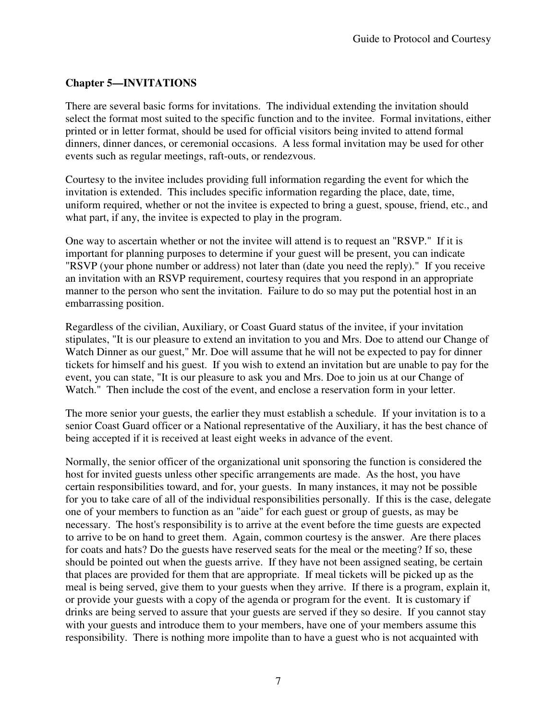# **Chapter 5—INVITATIONS**

There are several basic forms for invitations. The individual extending the invitation should select the format most suited to the specific function and to the invitee. Formal invitations, either printed or in letter format, should be used for official visitors being invited to attend formal dinners, dinner dances, or ceremonial occasions. A less formal invitation may be used for other events such as regular meetings, raft-outs, or rendezvous.

Courtesy to the invitee includes providing full information regarding the event for which the invitation is extended. This includes specific information regarding the place, date, time, uniform required, whether or not the invitee is expected to bring a guest, spouse, friend, etc., and what part, if any, the invitee is expected to play in the program.

One way to ascertain whether or not the invitee will attend is to request an "RSVP." If it is important for planning purposes to determine if your guest will be present, you can indicate "RSVP (your phone number or address) not later than (date you need the reply)." If you receive an invitation with an RSVP requirement, courtesy requires that you respond in an appropriate manner to the person who sent the invitation. Failure to do so may put the potential host in an embarrassing position.

Regardless of the civilian, Auxiliary, or Coast Guard status of the invitee, if your invitation stipulates, "It is our pleasure to extend an invitation to you and Mrs. Doe to attend our Change of Watch Dinner as our guest," Mr. Doe will assume that he will not be expected to pay for dinner tickets for himself and his guest. If you wish to extend an invitation but are unable to pay for the event, you can state, "It is our pleasure to ask you and Mrs. Doe to join us at our Change of Watch." Then include the cost of the event, and enclose a reservation form in your letter.

The more senior your guests, the earlier they must establish a schedule. If your invitation is to a senior Coast Guard officer or a National representative of the Auxiliary, it has the best chance of being accepted if it is received at least eight weeks in advance of the event.

Normally, the senior officer of the organizational unit sponsoring the function is considered the host for invited guests unless other specific arrangements are made. As the host, you have certain responsibilities toward, and for, your guests. In many instances, it may not be possible for you to take care of all of the individual responsibilities personally. If this is the case, delegate one of your members to function as an "aide" for each guest or group of guests, as may be necessary. The host's responsibility is to arrive at the event before the time guests are expected to arrive to be on hand to greet them. Again, common courtesy is the answer. Are there places for coats and hats? Do the guests have reserved seats for the meal or the meeting? If so, these should be pointed out when the guests arrive. If they have not been assigned seating, be certain that places are provided for them that are appropriate. If meal tickets will be picked up as the meal is being served, give them to your guests when they arrive. If there is a program, explain it, or provide your guests with a copy of the agenda or program for the event. It is customary if drinks are being served to assure that your guests are served if they so desire. If you cannot stay with your guests and introduce them to your members, have one of your members assume this responsibility. There is nothing more impolite than to have a guest who is not acquainted with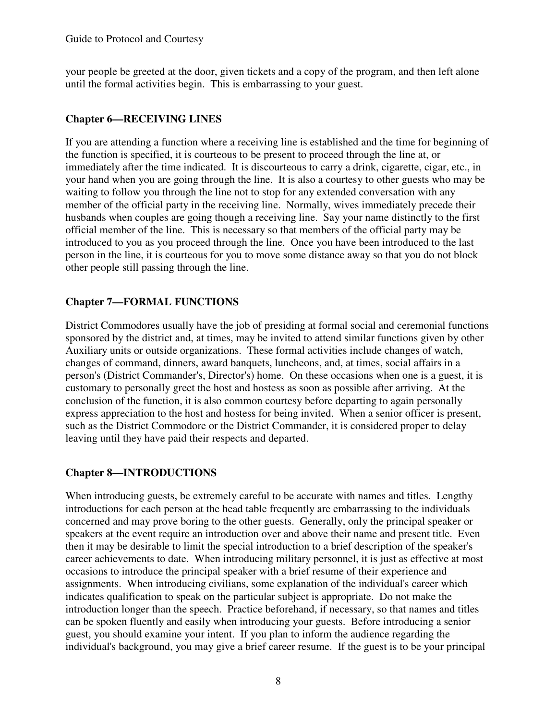your people be greeted at the door, given tickets and a copy of the program, and then left alone until the formal activities begin. This is embarrassing to your guest.

#### **Chapter 6—RECEIVING LINES**

If you are attending a function where a receiving line is established and the time for beginning of the function is specified, it is courteous to be present to proceed through the line at, or immediately after the time indicated. It is discourteous to carry a drink, cigarette, cigar, etc., in your hand when you are going through the line. It is also a courtesy to other guests who may be waiting to follow you through the line not to stop for any extended conversation with any member of the official party in the receiving line. Normally, wives immediately precede their husbands when couples are going though a receiving line. Say your name distinctly to the first official member of the line. This is necessary so that members of the official party may be introduced to you as you proceed through the line. Once you have been introduced to the last person in the line, it is courteous for you to move some distance away so that you do not block other people still passing through the line.

## **Chapter 7—FORMAL FUNCTIONS**

District Commodores usually have the job of presiding at formal social and ceremonial functions sponsored by the district and, at times, may be invited to attend similar functions given by other Auxiliary units or outside organizations. These formal activities include changes of watch, changes of command, dinners, award banquets, luncheons, and, at times, social affairs in a person's (District Commander's, Director's) home. On these occasions when one is a guest, it is customary to personally greet the host and hostess as soon as possible after arriving. At the conclusion of the function, it is also common courtesy before departing to again personally express appreciation to the host and hostess for being invited. When a senior officer is present, such as the District Commodore or the District Commander, it is considered proper to delay leaving until they have paid their respects and departed.

#### **Chapter 8—INTRODUCTIONS**

When introducing guests, be extremely careful to be accurate with names and titles. Lengthy introductions for each person at the head table frequently are embarrassing to the individuals concerned and may prove boring to the other guests. Generally, only the principal speaker or speakers at the event require an introduction over and above their name and present title. Even then it may be desirable to limit the special introduction to a brief description of the speaker's career achievements to date. When introducing military personnel, it is just as effective at most occasions to introduce the principal speaker with a brief resume of their experience and assignments. When introducing civilians, some explanation of the individual's career which indicates qualification to speak on the particular subject is appropriate. Do not make the introduction longer than the speech. Practice beforehand, if necessary, so that names and titles can be spoken fluently and easily when introducing your guests. Before introducing a senior guest, you should examine your intent. If you plan to inform the audience regarding the individual's background, you may give a brief career resume. If the guest is to be your principal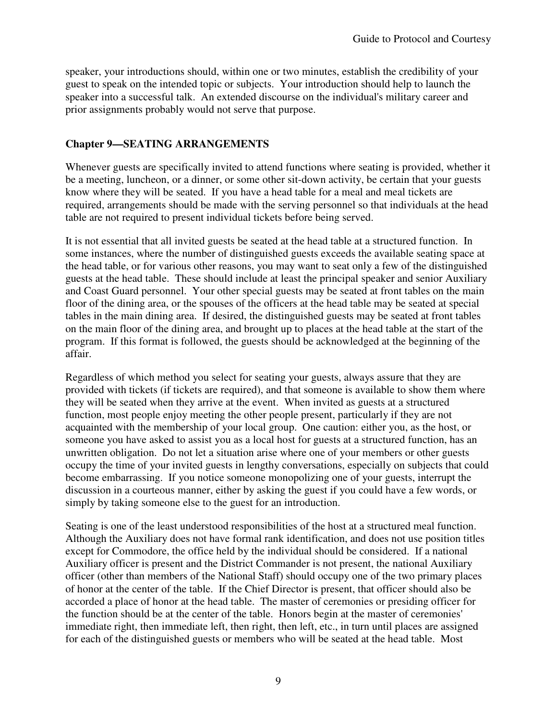speaker, your introductions should, within one or two minutes, establish the credibility of your guest to speak on the intended topic or subjects. Your introduction should help to launch the speaker into a successful talk. An extended discourse on the individual's military career and prior assignments probably would not serve that purpose.

#### **Chapter 9—SEATING ARRANGEMENTS**

Whenever guests are specifically invited to attend functions where seating is provided, whether it be a meeting, luncheon, or a dinner, or some other sit-down activity, be certain that your guests know where they will be seated. If you have a head table for a meal and meal tickets are required, arrangements should be made with the serving personnel so that individuals at the head table are not required to present individual tickets before being served.

It is not essential that all invited guests be seated at the head table at a structured function. In some instances, where the number of distinguished guests exceeds the available seating space at the head table, or for various other reasons, you may want to seat only a few of the distinguished guests at the head table. These should include at least the principal speaker and senior Auxiliary and Coast Guard personnel. Your other special guests may be seated at front tables on the main floor of the dining area, or the spouses of the officers at the head table may be seated at special tables in the main dining area. If desired, the distinguished guests may be seated at front tables on the main floor of the dining area, and brought up to places at the head table at the start of the program. If this format is followed, the guests should be acknowledged at the beginning of the affair.

Regardless of which method you select for seating your guests, always assure that they are provided with tickets (if tickets are required), and that someone is available to show them where they will be seated when they arrive at the event. When invited as guests at a structured function, most people enjoy meeting the other people present, particularly if they are not acquainted with the membership of your local group. One caution: either you, as the host, or someone you have asked to assist you as a local host for guests at a structured function, has an unwritten obligation. Do not let a situation arise where one of your members or other guests occupy the time of your invited guests in lengthy conversations, especially on subjects that could become embarrassing. If you notice someone monopolizing one of your guests, interrupt the discussion in a courteous manner, either by asking the guest if you could have a few words, or simply by taking someone else to the guest for an introduction.

Seating is one of the least understood responsibilities of the host at a structured meal function. Although the Auxiliary does not have formal rank identification, and does not use position titles except for Commodore, the office held by the individual should be considered. If a national Auxiliary officer is present and the District Commander is not present, the national Auxiliary officer (other than members of the National Staff) should occupy one of the two primary places of honor at the center of the table. If the Chief Director is present, that officer should also be accorded a place of honor at the head table. The master of ceremonies or presiding officer for the function should be at the center of the table. Honors begin at the master of ceremonies' immediate right, then immediate left, then right, then left, etc., in turn until places are assigned for each of the distinguished guests or members who will be seated at the head table. Most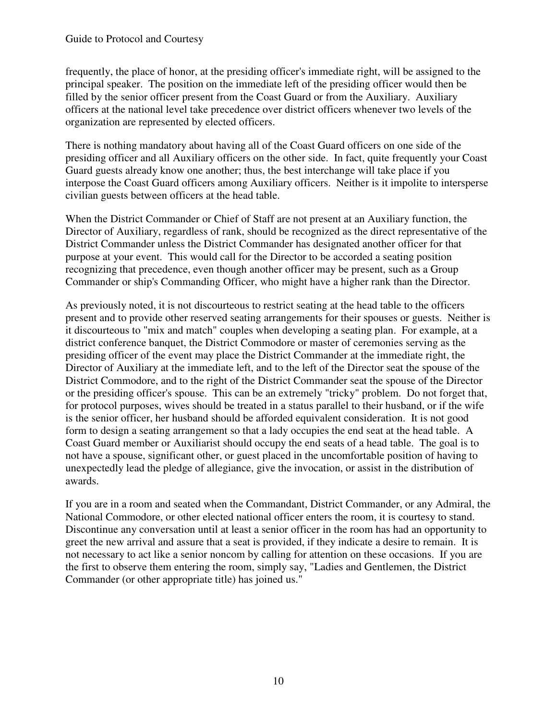frequently, the place of honor, at the presiding officer's immediate right, will be assigned to the principal speaker. The position on the immediate left of the presiding officer would then be filled by the senior officer present from the Coast Guard or from the Auxiliary. Auxiliary officers at the national level take precedence over district officers whenever two levels of the organization are represented by elected officers.

There is nothing mandatory about having all of the Coast Guard officers on one side of the presiding officer and all Auxiliary officers on the other side. In fact, quite frequently your Coast Guard guests already know one another; thus, the best interchange will take place if you interpose the Coast Guard officers among Auxiliary officers. Neither is it impolite to intersperse civilian guests between officers at the head table.

When the District Commander or Chief of Staff are not present at an Auxiliary function, the Director of Auxiliary, regardless of rank, should be recognized as the direct representative of the District Commander unless the District Commander has designated another officer for that purpose at your event. This would call for the Director to be accorded a seating position recognizing that precedence, even though another officer may be present, such as a Group Commander or ship's Commanding Officer, who might have a higher rank than the Director.

As previously noted, it is not discourteous to restrict seating at the head table to the officers present and to provide other reserved seating arrangements for their spouses or guests. Neither is it discourteous to "mix and match" couples when developing a seating plan. For example, at a district conference banquet, the District Commodore or master of ceremonies serving as the presiding officer of the event may place the District Commander at the immediate right, the Director of Auxiliary at the immediate left, and to the left of the Director seat the spouse of the District Commodore, and to the right of the District Commander seat the spouse of the Director or the presiding officer's spouse. This can be an extremely "tricky" problem. Do not forget that, for protocol purposes, wives should be treated in a status parallel to their husband, or if the wife is the senior officer, her husband should be afforded equivalent consideration. It is not good form to design a seating arrangement so that a lady occupies the end seat at the head table. A Coast Guard member or Auxiliarist should occupy the end seats of a head table. The goal is to not have a spouse, significant other, or guest placed in the uncomfortable position of having to unexpectedly lead the pledge of allegiance, give the invocation, or assist in the distribution of awards.

If you are in a room and seated when the Commandant, District Commander, or any Admiral, the National Commodore, or other elected national officer enters the room, it is courtesy to stand. Discontinue any conversation until at least a senior officer in the room has had an opportunity to greet the new arrival and assure that a seat is provided, if they indicate a desire to remain. It is not necessary to act like a senior noncom by calling for attention on these occasions. If you are the first to observe them entering the room, simply say, "Ladies and Gentlemen, the District Commander (or other appropriate title) has joined us."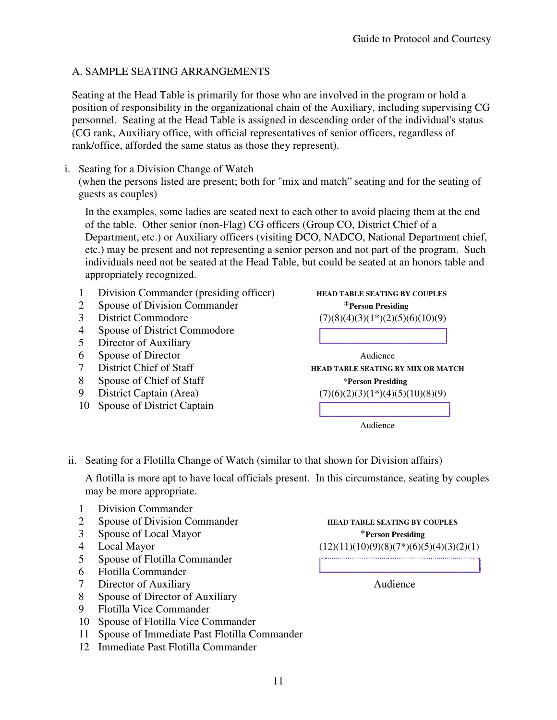# A. SAMPLE SEATING ARRANGEMENTS

Seating at the Head Table is primarily for those who are involved in the program or hold a position of responsibility in the organizational chain of the Auxiliary, including supervising CG personnel. Seating at the Head Table is assigned in descending order of the individual's status (CG rank, Auxiliary office, with official representatives of senior officers, regardless of rank/office, afforded the same status as those they represent).

i. Seating for a Division Change of Watch

(when the persons listed are present; both for "mix and match" seating and for the seating of guests as couples)

In the examples, some ladies are seated next to each other to avoid placing them at the end of the table. Other senior (non-Flag) CG officers (Group CO, District Chief of a Department, etc.) or Auxiliary officers (visiting DCO, NADCO, National Department chief, etc.) may be present and not representing a senior person and not part of the program. Such individuals need not be seated at the Head Table, but could be seated at an honors table and appropriately recognized.

- 1 Division Commander (presiding officer) **HEAD TABLE SEATING BY COUPLES**
- 
- 
- 4 Spouse of District Commodore
- 5 Director of Auxiliary
- 6 Spouse of Director Audience
- 
- 8 Spouse of Chief of Staff \***Person Presiding**
- 
- 10 Spouse of District Captain

2 Spouse of Division Commander \***Person Presiding**  3 District Commodore  $(7)(8)(4)(3)(1<sup>*</sup>)(2)(5)(6)(10)(9)$ <br>4 Snows of District Commodore 7 District Chief of Staff **HEAD TABLE SEATING BY MIX OR MATCH** 9 District Captain (Area) (7)(6)(2)(3)(1\*)(4)(5)(10)(8)(9)

Audience

ii. Seating for a Flotilla Change of Watch (similar to that shown for Division affairs)

A flotilla is more apt to have local officials present. In this circumstance, seating by couples may be more appropriate.

- 1 Division Commander
- 2 Spouse of Division Commander **HEAD TABLE SEATING BY COUPLES**
- 3 Spouse of Local Mayor \***Person Presiding**
- 
- 5 Spouse of Flotilla Commander
- 6 Flotilla Commander
- 7 Director of Auxiliary Audience
- 8 Spouse of Director of Auxiliary
- 9 Flotilla Vice Commander
- 10 Spouse of Flotilla Vice Commander
- 11 Spouse of Immediate Past Flotilla Commander
- 12 Immediate Past Flotilla Commander

4 Local Mayor (12)(11)(10)(9)(8)(7\*)(6)(5)(4)(3)(2)(1)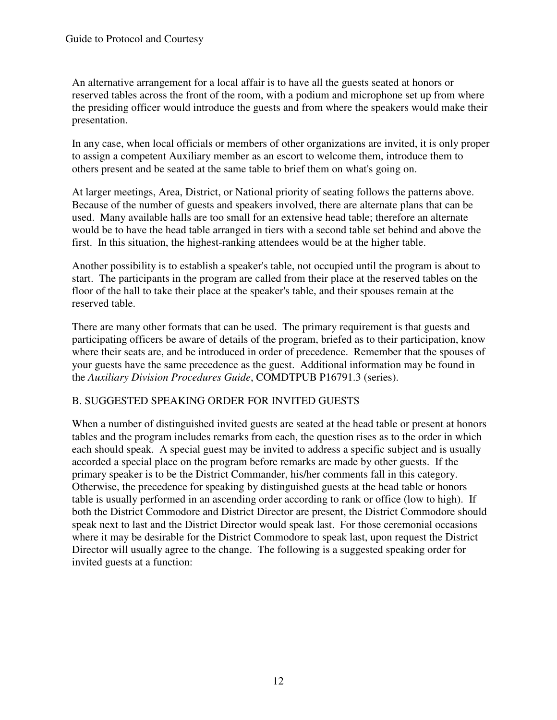An alternative arrangement for a local affair is to have all the guests seated at honors or reserved tables across the front of the room, with a podium and microphone set up from where the presiding officer would introduce the guests and from where the speakers would make their presentation.

In any case, when local officials or members of other organizations are invited, it is only proper to assign a competent Auxiliary member as an escort to welcome them, introduce them to others present and be seated at the same table to brief them on what's going on.

At larger meetings, Area, District, or National priority of seating follows the patterns above. Because of the number of guests and speakers involved, there are alternate plans that can be used. Many available halls are too small for an extensive head table; therefore an alternate would be to have the head table arranged in tiers with a second table set behind and above the first. In this situation, the highest-ranking attendees would be at the higher table.

Another possibility is to establish a speaker's table, not occupied until the program is about to start. The participants in the program are called from their place at the reserved tables on the floor of the hall to take their place at the speaker's table, and their spouses remain at the reserved table.

There are many other formats that can be used. The primary requirement is that guests and participating officers be aware of details of the program, briefed as to their participation, know where their seats are, and be introduced in order of precedence. Remember that the spouses of your guests have the same precedence as the guest. Additional information may be found in the *Auxiliary Division Procedures Guide*, COMDTPUB P16791.3 (series).

#### B. SUGGESTED SPEAKING ORDER FOR INVITED GUESTS

When a number of distinguished invited guests are seated at the head table or present at honors tables and the program includes remarks from each, the question rises as to the order in which each should speak. A special guest may be invited to address a specific subject and is usually accorded a special place on the program before remarks are made by other guests. If the primary speaker is to be the District Commander, his/her comments fall in this category. Otherwise, the precedence for speaking by distinguished guests at the head table or honors table is usually performed in an ascending order according to rank or office (low to high). If both the District Commodore and District Director are present, the District Commodore should speak next to last and the District Director would speak last. For those ceremonial occasions where it may be desirable for the District Commodore to speak last, upon request the District Director will usually agree to the change. The following is a suggested speaking order for invited guests at a function: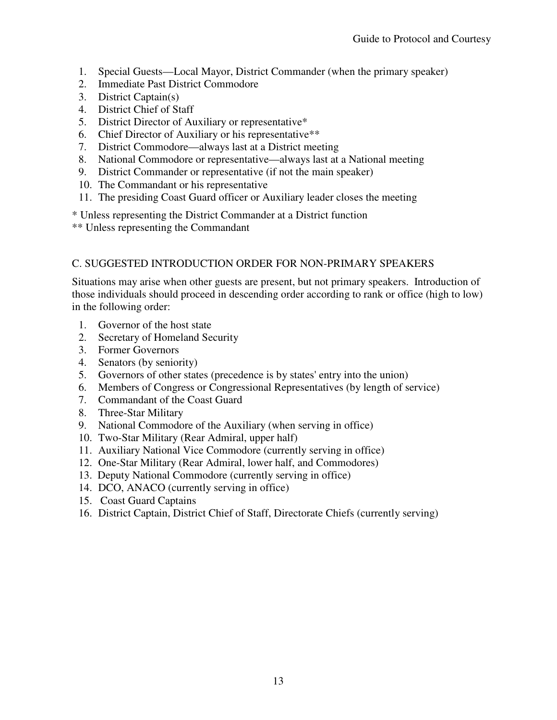- 1. Special Guests—Local Mayor, District Commander (when the primary speaker)
- 2. Immediate Past District Commodore
- 3. District Captain(s)
- 4. District Chief of Staff
- 5. District Director of Auxiliary or representative\*
- 6. Chief Director of Auxiliary or his representative\*\*
- 7. District Commodore—always last at a District meeting
- 8. National Commodore or representative—always last at a National meeting
- 9. District Commander or representative (if not the main speaker)
- 10. The Commandant or his representative
- 11. The presiding Coast Guard officer or Auxiliary leader closes the meeting

\* Unless representing the District Commander at a District function

\*\* Unless representing the Commandant

## C. SUGGESTED INTRODUCTION ORDER FOR NON-PRIMARY SPEAKERS

Situations may arise when other guests are present, but not primary speakers. Introduction of those individuals should proceed in descending order according to rank or office (high to low) in the following order:

- 1. Governor of the host state
- 2. Secretary of Homeland Security
- 3. Former Governors
- 4. Senators (by seniority)
- 5. Governors of other states (precedence is by states' entry into the union)
- 6. Members of Congress or Congressional Representatives (by length of service)
- 7. Commandant of the Coast Guard
- 8. Three-Star Military
- 9. National Commodore of the Auxiliary (when serving in office)
- 10. Two-Star Military (Rear Admiral, upper half)
- 11. Auxiliary National Vice Commodore (currently serving in office)
- 12. One-Star Military (Rear Admiral, lower half, and Commodores)
- 13. Deputy National Commodore (currently serving in office)
- 14. DCO, ANACO (currently serving in office)
- 15. Coast Guard Captains
- 16. District Captain, District Chief of Staff, Directorate Chiefs (currently serving)